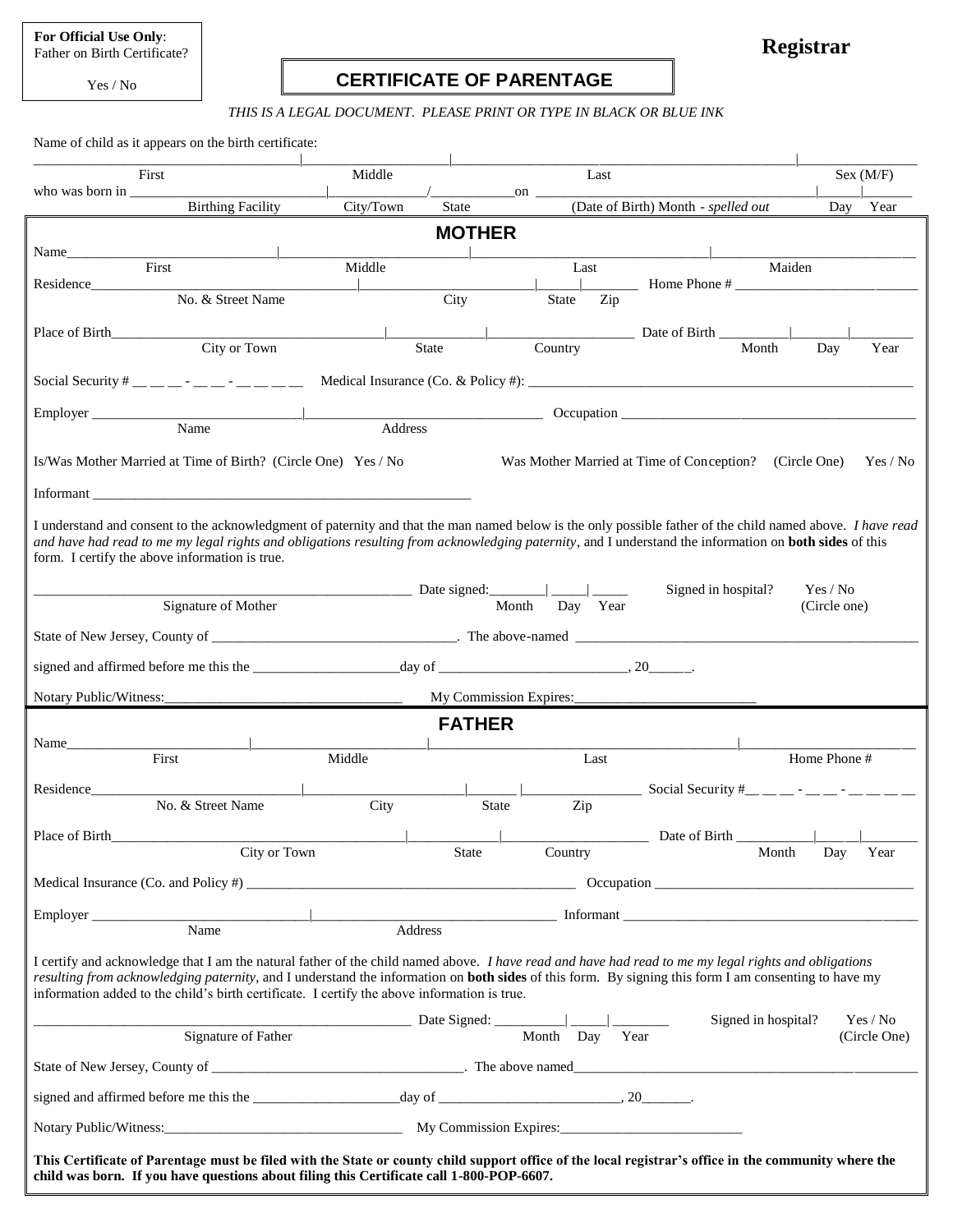**For Official Use Only**: Father on Birth Certificate?

Yes / No

# **CERTIFICATE OF PARENTAGE**

**Registrar**

#### *THIS IS A LEGAL DOCUMENT. PLEASE PRINT OR TYPE IN BLACK OR BLUE INK*

Name of child as it appears on the birth certificate:

| First                                                                                                                                                                                                                                                                                                                                                                                                               | Middle                                                  | Last                   |                                               | Sex (M/F)                |
|---------------------------------------------------------------------------------------------------------------------------------------------------------------------------------------------------------------------------------------------------------------------------------------------------------------------------------------------------------------------------------------------------------------------|---------------------------------------------------------|------------------------|-----------------------------------------------|--------------------------|
| <b>Birthing Facility</b>                                                                                                                                                                                                                                                                                                                                                                                            | <b>Contract Contract Contract</b><br>City/Town<br>State | $\mathbf{on}$          | (Date of Birth) Month - spelled out           | Day Year                 |
|                                                                                                                                                                                                                                                                                                                                                                                                                     | <b>MOTHER</b>                                           |                        |                                               |                          |
| Name<br>First                                                                                                                                                                                                                                                                                                                                                                                                       | Middle                                                  | Last                   | Maiden                                        |                          |
| No. & Street Name                                                                                                                                                                                                                                                                                                                                                                                                   | City                                                    | Zip<br>State           |                                               |                          |
|                                                                                                                                                                                                                                                                                                                                                                                                                     |                                                         |                        | Date of Birth                                 |                          |
| City or Town                                                                                                                                                                                                                                                                                                                                                                                                        | <b>State</b>                                            | Country                | Month                                         | Day<br>Year              |
| Social Security # __ __ _ - __ - __ - __ _ _ __ __                                                                                                                                                                                                                                                                                                                                                                  |                                                         |                        |                                               |                          |
| Employer Name Name Address                                                                                                                                                                                                                                                                                                                                                                                          |                                                         |                        |                                               |                          |
|                                                                                                                                                                                                                                                                                                                                                                                                                     |                                                         |                        |                                               |                          |
| Is/Was Mother Married at Time of Birth? (Circle One) Yes / No<br>Was Mother Married at Time of Conception? (Circle One)<br>Yes / No                                                                                                                                                                                                                                                                                 |                                                         |                        |                                               |                          |
| Informant the contract of the contract of the contract of the contract of the contract of the contract of the contract of the contract of the contract of the contract of the contract of the contract of the contract of the                                                                                                                                                                                       |                                                         |                        |                                               |                          |
| I understand and consent to the acknowledgment of paternity and that the man named below is the only possible father of the child named above. <i>I have read</i><br>and have had read to me my legal rights and obligations resulting from acknowledging paternity, and I understand the information on <b>both sides</b> of this<br>form. I certify the above information is true.                                |                                                         |                        |                                               |                          |
| Signature of Mother                                                                                                                                                                                                                                                                                                                                                                                                 |                                                         | Day Year<br>Month      | Signed in hospital?                           | Yes / No<br>(Circle one) |
|                                                                                                                                                                                                                                                                                                                                                                                                                     |                                                         |                        |                                               |                          |
|                                                                                                                                                                                                                                                                                                                                                                                                                     |                                                         |                        |                                               |                          |
|                                                                                                                                                                                                                                                                                                                                                                                                                     |                                                         |                        |                                               |                          |
|                                                                                                                                                                                                                                                                                                                                                                                                                     |                                                         | My Commission Expires: |                                               |                          |
| <b>FATHER</b>                                                                                                                                                                                                                                                                                                                                                                                                       |                                                         |                        |                                               |                          |
| First                                                                                                                                                                                                                                                                                                                                                                                                               | Middle                                                  | Last                   |                                               | Home Phone #             |
|                                                                                                                                                                                                                                                                                                                                                                                                                     |                                                         |                        | Social Security #__ __ - _ - _ - _ _ - __ _ _ |                          |
| No. & Street Name                                                                                                                                                                                                                                                                                                                                                                                                   | City                                                    | Zip<br><b>State</b>    |                                               |                          |
| Place of Birth<br>City or Town                                                                                                                                                                                                                                                                                                                                                                                      | State                                                   | Country                | Date of Birth                                 | Month Day Year           |
|                                                                                                                                                                                                                                                                                                                                                                                                                     |                                                         |                        |                                               |                          |
| Medical Insurance (Co. and Policy #) $\frac{1}{2}$ and $\frac{1}{2}$ and $\frac{1}{2}$ and $\frac{1}{2}$ and $\frac{1}{2}$ and $\frac{1}{2}$ and $\frac{1}{2}$ and $\frac{1}{2}$ and $\frac{1}{2}$ and $\frac{1}{2}$ and $\frac{1}{2}$ and $\frac{1}{2}$ and $\frac{1}{2}$ and $\$                                                                                                                                  |                                                         |                        |                                               |                          |
| Name                                                                                                                                                                                                                                                                                                                                                                                                                | Address                                                 |                        |                                               |                          |
| I certify and acknowledge that I am the natural father of the child named above. I have read and have had read to me my legal rights and obligations<br>resulting from acknowledging paternity, and I understand the information on <b>both sides</b> of this form. By signing this form I am consenting to have my<br>information added to the child's birth certificate. I certify the above information is true. |                                                         |                        |                                               |                          |
| Signature of Father                                                                                                                                                                                                                                                                                                                                                                                                 |                                                         |                        | Signed in hospital?                           | Yes / No<br>(Circle One) |
|                                                                                                                                                                                                                                                                                                                                                                                                                     |                                                         |                        |                                               |                          |
|                                                                                                                                                                                                                                                                                                                                                                                                                     |                                                         |                        |                                               |                          |
|                                                                                                                                                                                                                                                                                                                                                                                                                     |                                                         |                        |                                               |                          |
| This Certificate of Parentage must be filed with the State or county child support office of the local registrar's office in the community where the<br>child was born. If you have questions about filing this Certificate call 1-800-POP-6607.                                                                                                                                                                    |                                                         |                        |                                               |                          |